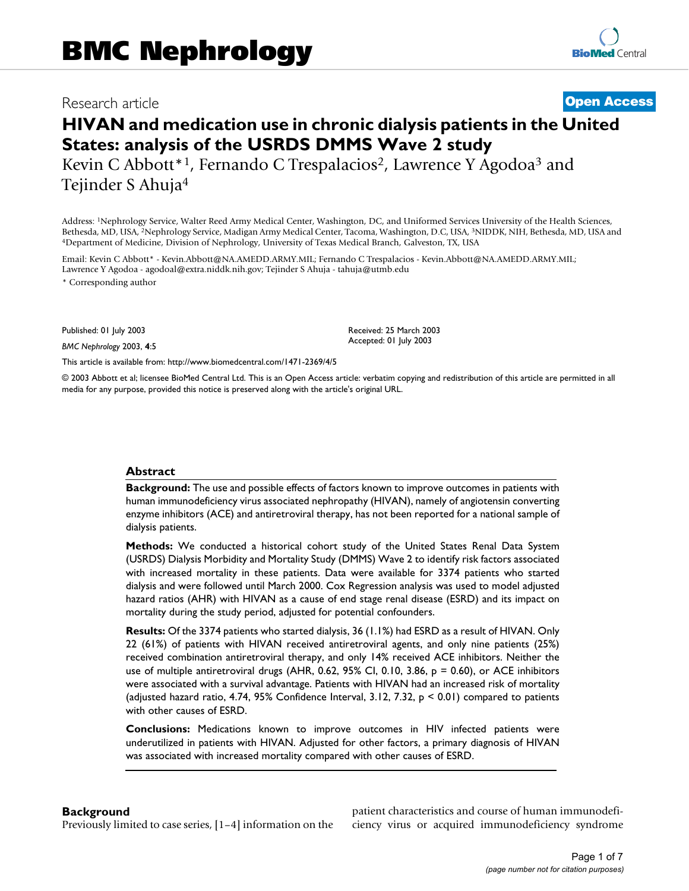## Research article **[Open Access](http://www.biomedcentral.com/info/about/charter/)**

# **HIVAN and medication use in chronic dialysis patients in the United States: analysis of the USRDS DMMS Wave 2 study**

Kevin C Abbott<sup>\*1</sup>, Fernando C Trespalacios<sup>2</sup>, Lawrence Y Agodoa<sup>3</sup> and Tejinder S Ahuja4

Address: 1Nephrology Service, Walter Reed Army Medical Center, Washington, DC, and Uniformed Services University of the Health Sciences, Bethesda, MD, USA, <sup>2</sup>Nephrology Service, Madigan Army Medical Center, Tacoma, Washington, D.C, USA, <sup>3</sup>NIDDK, NIH, Bethesda, MD, USA and<br><sup>4</sup>Department of Medicine, Division of Nephrology, University of Texas Medical Branc

Email: Kevin C Abbott\* - Kevin.Abbott@NA.AMEDD.ARMY.MIL; Fernando C Trespalacios - Kevin.Abbott@NA.AMEDD.ARMY.MIL; Lawrence Y Agodoa - agodoal@extra.niddk.nih.gov; Tejinder S Ahuja - tahuja@utmb.edu

\* Corresponding author

Published: 01 July 2003

*BMC Nephrology* 2003, **4**:5

[This article is available from: http://www.biomedcentral.com/1471-2369/4/5](http://www.biomedcentral.com/1471-2369/4/5)

© 2003 Abbott et al; licensee BioMed Central Ltd. This is an Open Access article: verbatim copying and redistribution of this article are permitted in all media for any purpose, provided this notice is preserved along with the article's original URL.

Received: 25 March 2003 Accepted: 01 July 2003

#### **Abstract**

**Background:** The use and possible effects of factors known to improve outcomes in patients with human immunodeficiency virus associated nephropathy (HIVAN), namely of angiotensin converting enzyme inhibitors (ACE) and antiretroviral therapy, has not been reported for a national sample of dialysis patients.

**Methods:** We conducted a historical cohort study of the United States Renal Data System (USRDS) Dialysis Morbidity and Mortality Study (DMMS) Wave 2 to identify risk factors associated with increased mortality in these patients. Data were available for 3374 patients who started dialysis and were followed until March 2000. Cox Regression analysis was used to model adjusted hazard ratios (AHR) with HIVAN as a cause of end stage renal disease (ESRD) and its impact on mortality during the study period, adjusted for potential confounders.

**Results:** Of the 3374 patients who started dialysis, 36 (1.1%) had ESRD as a result of HIVAN. Only 22 (61%) of patients with HIVAN received antiretroviral agents, and only nine patients (25%) received combination antiretroviral therapy, and only 14% received ACE inhibitors. Neither the use of multiple antiretroviral drugs (AHR, 0.62, 95% CI, 0.10, 3.86,  $p = 0.60$ ), or ACE inhibitors were associated with a survival advantage. Patients with HIVAN had an increased risk of mortality (adjusted hazard ratio, 4.74, 95% Confidence Interval, 3.12, 7.32, p < 0.01) compared to patients with other causes of ESRD.

**Conclusions:** Medications known to improve outcomes in HIV infected patients were underutilized in patients with HIVAN. Adjusted for other factors, a primary diagnosis of HIVAN was associated with increased mortality compared with other causes of ESRD.

#### **Background**

Previously limited to case series, [1–4] information on the

patient characteristics and course of human immunodeficiency virus or acquired immunodeficiency syndrome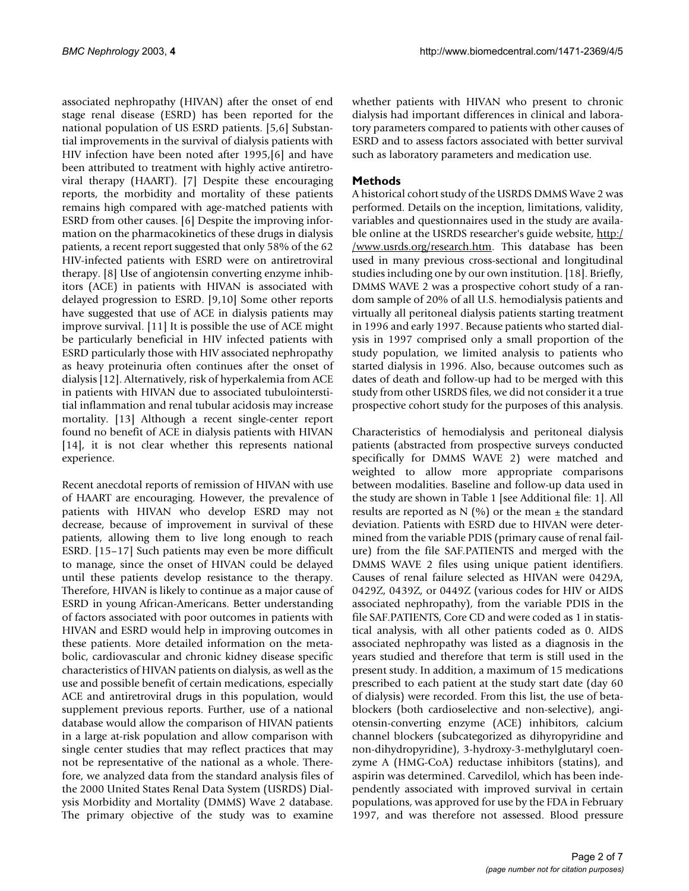associated nephropathy (HIVAN) after the onset of end stage renal disease (ESRD) has been reported for the national population of US ESRD patients. [5,6] Substantial improvements in the survival of dialysis patients with HIV infection have been noted after 1995,[6] and have been attributed to treatment with highly active antiretroviral therapy (HAART). [7] Despite these encouraging reports, the morbidity and mortality of these patients remains high compared with age-matched patients with ESRD from other causes. [6] Despite the improving information on the pharmacokinetics of these drugs in dialysis patients, a recent report suggested that only 58% of the 62 HIV-infected patients with ESRD were on antiretroviral therapy. [8] Use of angiotensin converting enzyme inhibitors (ACE) in patients with HIVAN is associated with delayed progression to ESRD. [9,10] Some other reports have suggested that use of ACE in dialysis patients may improve survival. [11] It is possible the use of ACE might be particularly beneficial in HIV infected patients with ESRD particularly those with HIV associated nephropathy as heavy proteinuria often continues after the onset of dialysis [12]. Alternatively, risk of hyperkalemia from ACE in patients with HIVAN due to associated tubulointerstitial inflammation and renal tubular acidosis may increase mortality. [13] Although a recent single-center report found no benefit of ACE in dialysis patients with HIVAN [14], it is not clear whether this represents national experience.

Recent anecdotal reports of remission of HIVAN with use of HAART are encouraging. However, the prevalence of patients with HIVAN who develop ESRD may not decrease, because of improvement in survival of these patients, allowing them to live long enough to reach ESRD. [15–17] Such patients may even be more difficult to manage, since the onset of HIVAN could be delayed until these patients develop resistance to the therapy. Therefore, HIVAN is likely to continue as a major cause of ESRD in young African-Americans. Better understanding of factors associated with poor outcomes in patients with HIVAN and ESRD would help in improving outcomes in these patients. More detailed information on the metabolic, cardiovascular and chronic kidney disease specific characteristics of HIVAN patients on dialysis, as well as the use and possible benefit of certain medications, especially ACE and antiretroviral drugs in this population, would supplement previous reports. Further, use of a national database would allow the comparison of HIVAN patients in a large at-risk population and allow comparison with single center studies that may reflect practices that may not be representative of the national as a whole. Therefore, we analyzed data from the standard analysis files of the 2000 United States Renal Data System (USRDS) Dialysis Morbidity and Mortality (DMMS) Wave 2 database. The primary objective of the study was to examine

whether patients with HIVAN who present to chronic dialysis had important differences in clinical and laboratory parameters compared to patients with other causes of ESRD and to assess factors associated with better survival such as laboratory parameters and medication use.

## **Methods**

A historical cohort study of the USRDS DMMS Wave 2 was performed. Details on the inception, limitations, validity, variables and questionnaires used in the study are available online at the USRDS researcher's guide website, [http:/](http://www.usrds.org/research.htm) [/www.usrds.org/research.htm](http://www.usrds.org/research.htm). This database has been used in many previous cross-sectional and longitudinal studies including one by our own institution. [18]. Briefly, DMMS WAVE 2 was a prospective cohort study of a random sample of 20% of all U.S. hemodialysis patients and virtually all peritoneal dialysis patients starting treatment in 1996 and early 1997. Because patients who started dialysis in 1997 comprised only a small proportion of the study population, we limited analysis to patients who started dialysis in 1996. Also, because outcomes such as dates of death and follow-up had to be merged with this study from other USRDS files, we did not consider it a true prospective cohort study for the purposes of this analysis.

Characteristics of hemodialysis and peritoneal dialysis patients (abstracted from prospective surveys conducted specifically for DMMS WAVE 2) were matched and weighted to allow more appropriate comparisons between modalities. Baseline and follow-up data used in the study are shown in Table 1 [see Additional file: 1]. All results are reported as  $N$  (%) or the mean  $\pm$  the standard deviation. Patients with ESRD due to HIVAN were determined from the variable PDIS (primary cause of renal failure) from the file SAF.PATIENTS and merged with the DMMS WAVE 2 files using unique patient identifiers. Causes of renal failure selected as HIVAN were 0429A, 0429Z, 0439Z, or 0449Z (various codes for HIV or AIDS associated nephropathy), from the variable PDIS in the file SAF.PATIENTS, Core CD and were coded as 1 in statistical analysis, with all other patients coded as 0. AIDS associated nephropathy was listed as a diagnosis in the years studied and therefore that term is still used in the present study. In addition, a maximum of 15 medications prescribed to each patient at the study start date (day 60 of dialysis) were recorded. From this list, the use of betablockers (both cardioselective and non-selective), angiotensin-converting enzyme (ACE) inhibitors, calcium channel blockers (subcategorized as dihyropyridine and non-dihydropyridine), 3-hydroxy-3-methylglutaryl coenzyme A (HMG-CoA) reductase inhibitors (statins), and aspirin was determined. Carvedilol, which has been independently associated with improved survival in certain populations, was approved for use by the FDA in February 1997, and was therefore not assessed. Blood pressure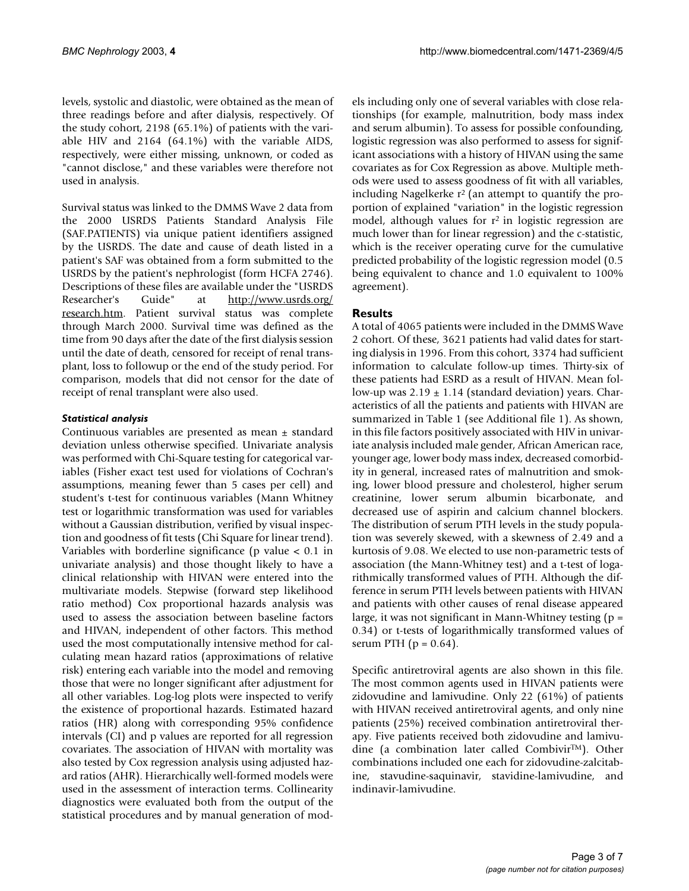levels, systolic and diastolic, were obtained as the mean of three readings before and after dialysis, respectively. Of the study cohort, 2198 (65.1%) of patients with the variable HIV and 2164 (64.1%) with the variable AIDS, respectively, were either missing, unknown, or coded as "cannot disclose," and these variables were therefore not used in analysis.

Survival status was linked to the DMMS Wave 2 data from the 2000 USRDS Patients Standard Analysis File (SAF.PATIENTS) via unique patient identifiers assigned by the USRDS. The date and cause of death listed in a patient's SAF was obtained from a form submitted to the USRDS by the patient's nephrologist (form HCFA 2746). Descriptions of these files are available under the "USRDS Researcher's Guide" at [http://www.usrds.org/](http://www.usrds.org/research.htm) [research.htm](http://www.usrds.org/research.htm). Patient survival status was complete through March 2000. Survival time was defined as the time from 90 days after the date of the first dialysis session until the date of death, censored for receipt of renal transplant, loss to followup or the end of the study period. For comparison, models that did not censor for the date of receipt of renal transplant were also used.

## *Statistical analysis*

Continuous variables are presented as mean ± standard deviation unless otherwise specified. Univariate analysis was performed with Chi-Square testing for categorical variables (Fisher exact test used for violations of Cochran's assumptions, meaning fewer than 5 cases per cell) and student's t-test for continuous variables (Mann Whitney test or logarithmic transformation was used for variables without a Gaussian distribution, verified by visual inspection and goodness of fit tests (Chi Square for linear trend). Variables with borderline significance (p value  $< 0.1$  in univariate analysis) and those thought likely to have a clinical relationship with HIVAN were entered into the multivariate models. Stepwise (forward step likelihood ratio method) Cox proportional hazards analysis was used to assess the association between baseline factors and HIVAN, independent of other factors. This method used the most computationally intensive method for calculating mean hazard ratios (approximations of relative risk) entering each variable into the model and removing those that were no longer significant after adjustment for all other variables. Log-log plots were inspected to verify the existence of proportional hazards. Estimated hazard ratios (HR) along with corresponding 95% confidence intervals (CI) and p values are reported for all regression covariates. The association of HIVAN with mortality was also tested by Cox regression analysis using adjusted hazard ratios (AHR). Hierarchically well-formed models were used in the assessment of interaction terms. Collinearity diagnostics were evaluated both from the output of the statistical procedures and by manual generation of models including only one of several variables with close relationships (for example, malnutrition, body mass index and serum albumin). To assess for possible confounding, logistic regression was also performed to assess for significant associations with a history of HIVAN using the same covariates as for Cox Regression as above. Multiple methods were used to assess goodness of fit with all variables, including Nagelkerke  $r^2$  (an attempt to quantify the proportion of explained "variation" in the logistic regression model, although values for  $r^2$  in logistic regression are much lower than for linear regression) and the c-statistic, which is the receiver operating curve for the cumulative predicted probability of the logistic regression model (0.5 being equivalent to chance and 1.0 equivalent to 100% agreement).

## **Results**

A total of 4065 patients were included in the DMMS Wave 2 cohort. Of these, 3621 patients had valid dates for starting dialysis in 1996. From this cohort, 3374 had sufficient information to calculate follow-up times. Thirty-six of these patients had ESRD as a result of HIVAN. Mean follow-up was  $2.19 \pm 1.14$  (standard deviation) years. Characteristics of all the patients and patients with HIVAN are summarized in Table 1 (see Additional file 1). As shown, in this file factors positively associated with HIV in univariate analysis included male gender, African American race, younger age, lower body mass index, decreased comorbidity in general, increased rates of malnutrition and smoking, lower blood pressure and cholesterol, higher serum creatinine, lower serum albumin bicarbonate, and decreased use of aspirin and calcium channel blockers. The distribution of serum PTH levels in the study population was severely skewed, with a skewness of 2.49 and a kurtosis of 9.08. We elected to use non-parametric tests of association (the Mann-Whitney test) and a t-test of logarithmically transformed values of PTH. Although the difference in serum PTH levels between patients with HIVAN and patients with other causes of renal disease appeared large, it was not significant in Mann-Whitney testing  $(p =$ 0.34) or t-tests of logarithmically transformed values of serum PTH ( $p = 0.64$ ).

Specific antiretroviral agents are also shown in this file. The most common agents used in HIVAN patients were zidovudine and lamivudine. Only 22 (61%) of patients with HIVAN received antiretroviral agents, and only nine patients (25%) received combination antiretroviral therapy. Five patients received both zidovudine and lamivudine (a combination later called CombivirTM). Other combinations included one each for zidovudine-zalcitabine, stavudine-saquinavir, stavidine-lamivudine, and indinavir-lamivudine.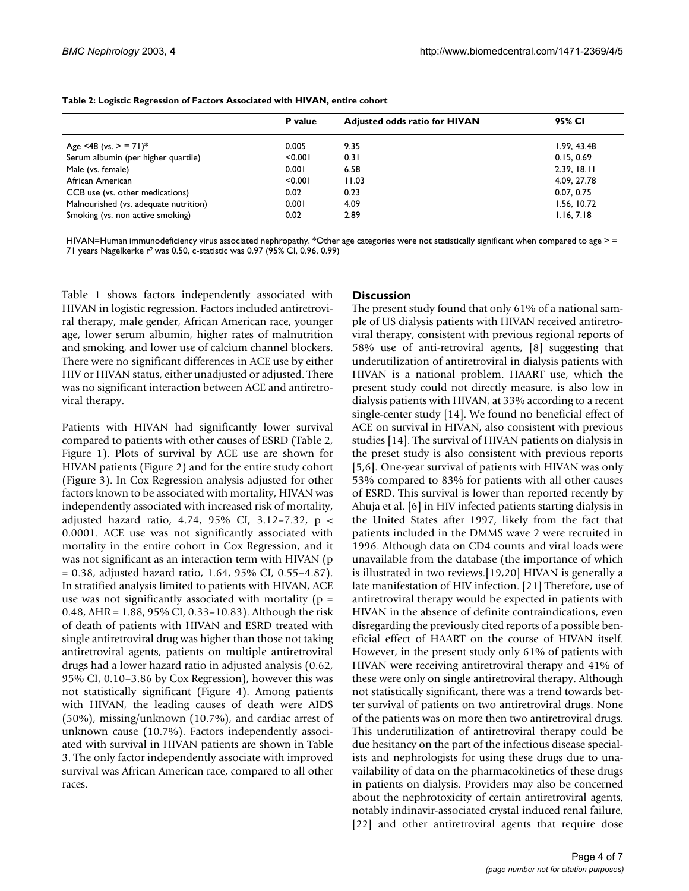|                                       | P value | Adjusted odds ratio for HIVAN | 95% CI      |
|---------------------------------------|---------|-------------------------------|-------------|
| Age <48 (vs. > = 71) <sup>*</sup>     | 0.005   | 9.35                          | 1.99, 43.48 |
| Serum albumin (per higher quartile)   | < 0.001 | 0.31                          | 0.15, 0.69  |
| Male (vs. female)                     | 0.001   | 6.58                          | 2.39, 18.11 |
| African American                      | < 0.001 | 11.03                         | 4.09, 27.78 |
| CCB use (vs. other medications)       | 0.02    | 0.23                          | 0.07, 0.75  |
| Malnourished (vs. adequate nutrition) | 0.001   | 4.09                          | 1.56, 10.72 |
| Smoking (vs. non active smoking)      | 0.02    | 2.89                          | 1.16, 7.18  |

#### <span id="page-3-0"></span>**Table 2: Logistic Regression of Factors Associated with HIVAN, entire cohort**

HIVAN=Human immunodeficiency virus associated nephropathy. \*Other age categories were not statistically significant when compared to age  $>$  = 71 years Nagelkerke r2 was 0.50, c-statistic was 0.97 (95% CI, 0.96, 0.99)

Table [1](#page-3-0) shows factors independently associated with HIVAN in logistic regression. Factors included antiretroviral therapy, male gender, African American race, younger age, lower serum albumin, higher rates of malnutrition and smoking, and lower use of calcium channel blockers. There were no significant differences in ACE use by either HIV or HIVAN status, either unadjusted or adjusted. There was no significant interaction between ACE and antiretroviral therapy.

Patients with HIVAN had significantly lower survival compared to patients with other causes of ESRD (Table [2,](#page-5-0) Figure 1). Plots of survival by ACE use are shown for HIVAN patients (Figure 2) and for the entire study cohort (Figure 3). In Cox Regression analysis adjusted for other factors known to be associated with mortality, HIVAN was independently associated with increased risk of mortality, adjusted hazard ratio, 4.74, 95% CI, 3.12–7.32, p < 0.0001. ACE use was not significantly associated with mortality in the entire cohort in Cox Regression, and it was not significant as an interaction term with HIVAN (p = 0.38, adjusted hazard ratio, 1.64, 95% CI, 0.55–4.87). In stratified analysis limited to patients with HIVAN, ACE use was not significantly associated with mortality ( $p =$ 0.48, AHR = 1.88, 95% CI, 0.33–10.83). Although the risk of death of patients with HIVAN and ESRD treated with single antiretroviral drug was higher than those not taking antiretroviral agents, patients on multiple antiretroviral drugs had a lower hazard ratio in adjusted analysis (0.62, 95% CI, 0.10–3.86 by Cox Regression), however this was not statistically significant (Figure 4). Among patients with HIVAN, the leading causes of death were AIDS (50%), missing/unknown (10.7%), and cardiac arrest of unknown cause (10.7%). Factors independently associated with survival in HIVAN patients are shown in Table [3.](#page-5-1) The only factor independently associate with improved survival was African American race, compared to all other races.

#### **Discussion**

The present study found that only 61% of a national sample of US dialysis patients with HIVAN received antiretroviral therapy, consistent with previous regional reports of 58% use of anti-retroviral agents, [8] suggesting that underutilization of antiretroviral in dialysis patients with HIVAN is a national problem. HAART use, which the present study could not directly measure, is also low in dialysis patients with HIVAN, at 33% according to a recent single-center study [14]. We found no beneficial effect of ACE on survival in HIVAN, also consistent with previous studies [14]. The survival of HIVAN patients on dialysis in the preset study is also consistent with previous reports [5,6]. One-year survival of patients with HIVAN was only 53% compared to 83% for patients with all other causes of ESRD. This survival is lower than reported recently by Ahuja et al. [6] in HIV infected patients starting dialysis in the United States after 1997, likely from the fact that patients included in the DMMS wave 2 were recruited in 1996. Although data on CD4 counts and viral loads were unavailable from the database (the importance of which is illustrated in two reviews.[19,20] HIVAN is generally a late manifestation of HIV infection. [21] Therefore, use of antiretroviral therapy would be expected in patients with HIVAN in the absence of definite contraindications, even disregarding the previously cited reports of a possible beneficial effect of HAART on the course of HIVAN itself. However, in the present study only 61% of patients with HIVAN were receiving antiretroviral therapy and 41% of these were only on single antiretroviral therapy. Although not statistically significant, there was a trend towards better survival of patients on two antiretroviral drugs. None of the patients was on more then two antiretroviral drugs. This underutilization of antiretroviral therapy could be due hesitancy on the part of the infectious disease specialists and nephrologists for using these drugs due to unavailability of data on the pharmacokinetics of these drugs in patients on dialysis. Providers may also be concerned about the nephrotoxicity of certain antiretroviral agents, notably indinavir-associated crystal induced renal failure, [22] and other antiretroviral agents that require dose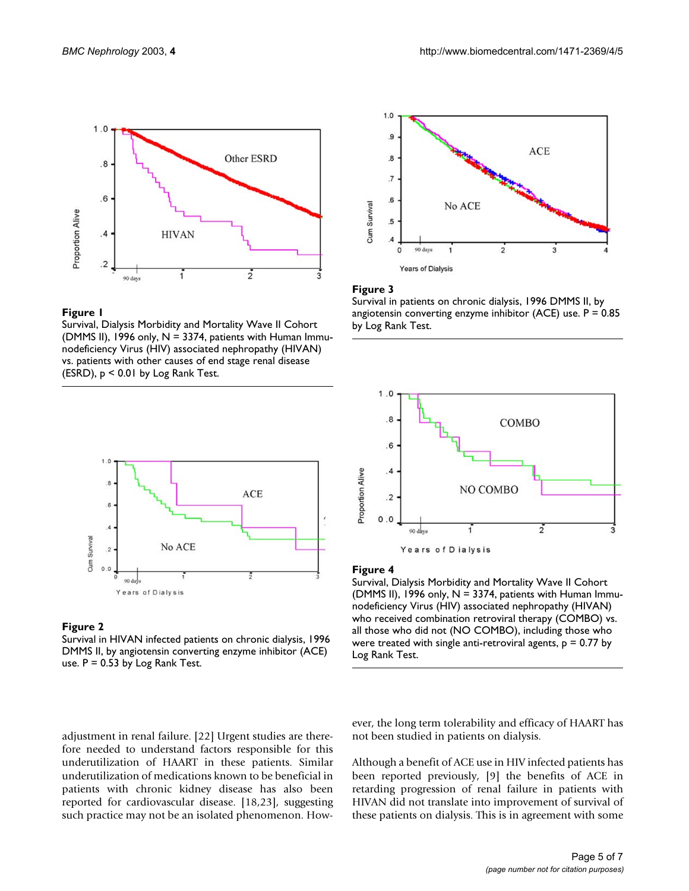

#### Figure I

Survival, Dialysis Morbidity and Mortality Wave II Cohort (DMMS II), 1996 only,  $N = 3374$ , patients with Human Immunodeficiency Virus (HIV) associated nephropathy (HIVAN) vs. patients with other causes of end stage renal disease (ESRD), p < 0.01 by Log Rank Test.



#### **Figure 3**

Survival in patients on chronic dialysis, 1996 DMMS II, by angiotensin converting enzyme inhibitor (ACE) use.  $P = 0.85$ by Log Rank Test.



#### Figure 4

Survival, Dialysis Morbidity and Mortality Wave II Cohort (DMMS II), 1996 only,  $N = 3374$ , patients with Human Immunodeficiency Virus (HIV) associated nephropathy (HIVAN) who received combination retroviral therapy (COMBO) vs. all those who did not (NO COMBO), including those who were treated with single anti-retroviral agents,  $p = 0.77$  by Log Rank Test.



#### Figure 2



adjustment in renal failure. [22] Urgent studies are thereever, the long term tolerability and efficacy of HAART has not been studied in patients on dialysis.

fore needed to understand factors responsible for this underutilization of HAART in these patients. Similar underutilization of medications known to be beneficial in patients with chronic kidney disease has also been reported for cardiovascular disease. [18,23], suggesting such practice may not be an isolated phenomenon. Howthese patients on dialysis. This is in agreement with some

Although a benefit of ACE use in HIV infected patients has been reported previously, [9] the benefits of ACE in retarding progression of renal failure in patients with HIVAN did not translate into improvement of survival of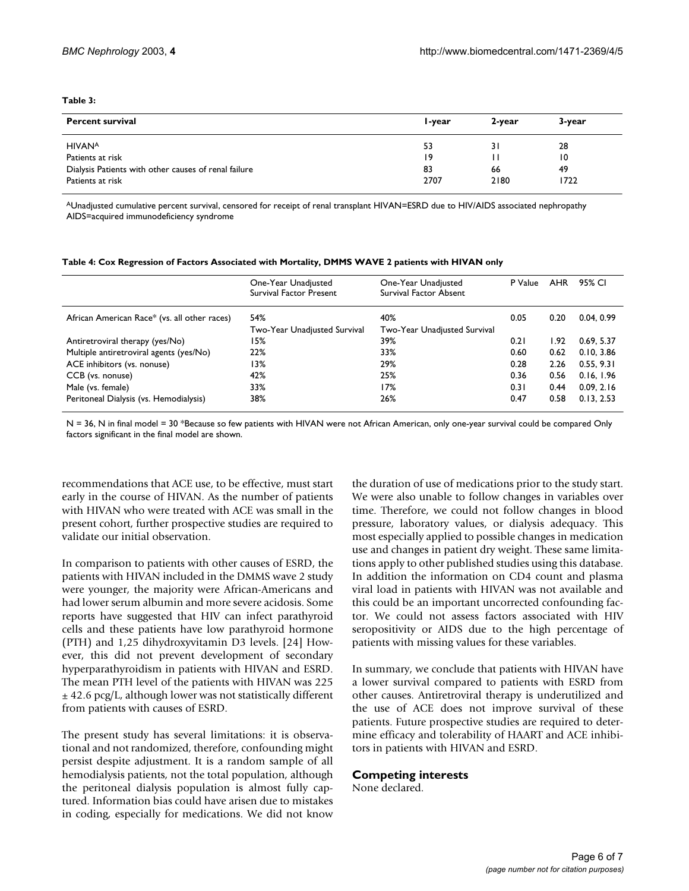#### <span id="page-5-0"></span>**Table 3:**

| <b>Percent survival</b>                              | l-year | 2-year | 3-year |
|------------------------------------------------------|--------|--------|--------|
| <b>HIVANA</b>                                        | 53     | 31     | 28     |
| Patients at risk                                     | 19     |        | 10     |
| Dialysis Patients with other causes of renal failure | 83     | 66     | -49    |
| Patients at risk                                     | 2707   | 2180   | 1722   |

AUnadjusted cumulative percent survival, censored for receipt of renal transplant HIVAN=ESRD due to HIV/AIDS associated nephropathy AIDS=acquired immunodeficiency syndrome

<span id="page-5-1"></span>

|  |  | Table 4: Cox Regression of Factors Associated with Mortality, DMMS WAVE 2 patients with HIVAN only |
|--|--|----------------------------------------------------------------------------------------------------|
|--|--|----------------------------------------------------------------------------------------------------|

|                                              | One-Year Unadjusted<br>Survival Factor Present | One-Year Unadjusted<br>Survival Factor Absent | P Value | <b>AHR</b> | 95% CI     |
|----------------------------------------------|------------------------------------------------|-----------------------------------------------|---------|------------|------------|
| African American Race* (vs. all other races) | 54%                                            | 40%                                           | 0.05    | 0.20       | 0.04, 0.99 |
|                                              | Two-Year Unadjusted Survival                   | Two-Year Unadjusted Survival                  |         |            |            |
| Antiretroviral therapy (yes/No)              | 15%                                            | 39%                                           | 0.21    | I.92       | 0.69.5.37  |
| Multiple antiretroviral agents (yes/No)      | 22%                                            | 33%                                           | 0.60    | 0.62       | 0.10, 3.86 |
| ACE inhibitors (vs. nonuse)                  | 13%                                            | 29%                                           | 0.28    | 2.26       | 0.55, 9.31 |
| CCB (vs. nonuse)                             | 42%                                            | 25%                                           | 0.36    | 0.56       | 0.16, 1.96 |
| Male (vs. female)                            | 33%                                            | 17%                                           | 0.31    | 0.44       | 0.09, 2.16 |
| Peritoneal Dialysis (vs. Hemodialysis)       | 38%                                            | 26%                                           | 0.47    | 0.58       | 0.13, 2.53 |

 $N = 36$ , N in final model = 30 \*Because so few patients with HIVAN were not African American, only one-year survival could be compared Only factors significant in the final model are shown.

recommendations that ACE use, to be effective, must start early in the course of HIVAN. As the number of patients with HIVAN who were treated with ACE was small in the present cohort, further prospective studies are required to validate our initial observation.

In comparison to patients with other causes of ESRD, the patients with HIVAN included in the DMMS wave 2 study were younger, the majority were African-Americans and had lower serum albumin and more severe acidosis. Some reports have suggested that HIV can infect parathyroid cells and these patients have low parathyroid hormone (PTH) and 1,25 dihydroxyvitamin D3 levels. [24] However, this did not prevent development of secondary hyperparathyroidism in patients with HIVAN and ESRD. The mean PTH level of the patients with HIVAN was 225  $\pm$  42.6 pcg/L, although lower was not statistically different from patients with causes of ESRD.

The present study has several limitations: it is observational and not randomized, therefore, confounding might persist despite adjustment. It is a random sample of all hemodialysis patients, not the total population, although the peritoneal dialysis population is almost fully captured. Information bias could have arisen due to mistakes in coding, especially for medications. We did not know

the duration of use of medications prior to the study start. We were also unable to follow changes in variables over time. Therefore, we could not follow changes in blood pressure, laboratory values, or dialysis adequacy. This most especially applied to possible changes in medication use and changes in patient dry weight. These same limitations apply to other published studies using this database. In addition the information on CD4 count and plasma viral load in patients with HIVAN was not available and this could be an important uncorrected confounding factor. We could not assess factors associated with HIV seropositivity or AIDS due to the high percentage of patients with missing values for these variables.

In summary, we conclude that patients with HIVAN have a lower survival compared to patients with ESRD from other causes. Antiretroviral therapy is underutilized and the use of ACE does not improve survival of these patients. Future prospective studies are required to determine efficacy and tolerability of HAART and ACE inhibitors in patients with HIVAN and ESRD.

#### **Competing interests**

None declared.